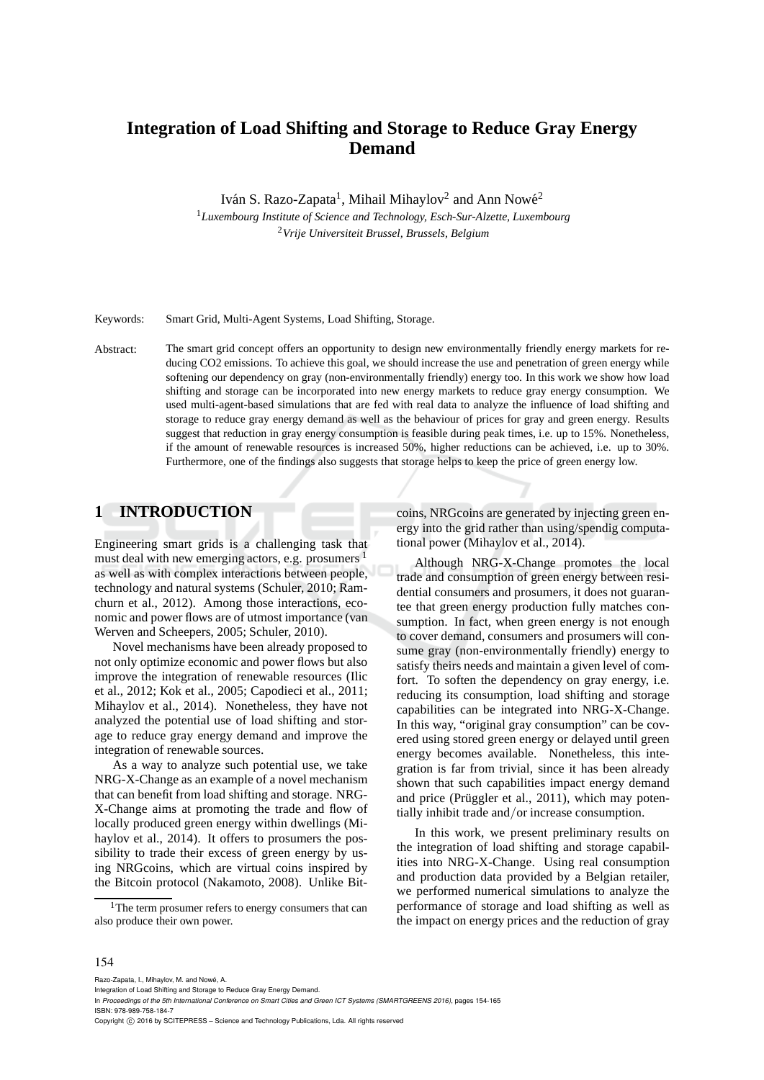# **Integration of Load Shifting and Storage to Reduce Gray Energy Demand**

Iván S. Razo-Zapata<sup>1</sup>, Mihail Mihaylov<sup>2</sup> and Ann Nowé<sup>2</sup>

<sup>1</sup>*Luxembourg Institute of Science and Technology, Esch-Sur-Alzette, Luxembourg* <sup>2</sup>*Vrije Universiteit Brussel, Brussels, Belgium*

Keywords: Smart Grid, Multi-Agent Systems, Load Shifting, Storage.

Abstract: The smart grid concept offers an opportunity to design new environmentally friendly energy markets for reducing CO2 emissions. To achieve this goal, we should increase the use and penetration of green energy while softening our dependency on gray (non-environmentally friendly) energy too. In this work we show how load shifting and storage can be incorporated into new energy markets to reduce gray energy consumption. We used multi-agent-based simulations that are fed with real data to analyze the influence of load shifting and storage to reduce gray energy demand as well as the behaviour of prices for gray and green energy. Results suggest that reduction in gray energy consumption is feasible during peak times, i.e. up to 15%. Nonetheless, if the amount of renewable resources is increased 50%, higher reductions can be achieved, i.e. up to 30%. Furthermore, one of the findings also suggests that storage helps to keep the price of green energy low.

# **1 INTRODUCTION**

Engineering smart grids is a challenging task that must deal with new emerging actors, e.g. prosumers <sup>1</sup> as well as with complex interactions between people, technology and natural systems (Schuler, 2010; Ramchurn et al., 2012). Among those interactions, economic and power flows are of utmost importance (van Werven and Scheepers, 2005; Schuler, 2010).

Novel mechanisms have been already proposed to not only optimize economic and power flows but also improve the integration of renewable resources (Ilic et al., 2012; Kok et al., 2005; Capodieci et al., 2011; Mihaylov et al., 2014). Nonetheless, they have not analyzed the potential use of load shifting and storage to reduce gray energy demand and improve the integration of renewable sources.

As a way to analyze such potential use, we take NRG-X-Change as an example of a novel mechanism that can benefit from load shifting and storage. NRG-X-Change aims at promoting the trade and flow of locally produced green energy within dwellings (Mihaylov et al., 2014). It offers to prosumers the possibility to trade their excess of green energy by using NRGcoins, which are virtual coins inspired by the Bitcoin protocol (Nakamoto, 2008). Unlike Bitcoins, NRGcoins are generated by injecting green energy into the grid rather than using/spendig computational power (Mihaylov et al., 2014).

Although NRG-X-Change promotes the local trade and consumption of green energy between residential consumers and prosumers, it does not guarantee that green energy production fully matches consumption. In fact, when green energy is not enough to cover demand, consumers and prosumers will consume gray (non-environmentally friendly) energy to satisfy theirs needs and maintain a given level of comfort. To soften the dependency on gray energy, i.e. reducing its consumption, load shifting and storage capabilities can be integrated into NRG-X-Change. In this way, "original gray consumption" can be covered using stored green energy or delayed until green energy becomes available. Nonetheless, this integration is far from trivial, since it has been already shown that such capabilities impact energy demand and price (Prüggler et al., 2011), which may potentially inhibit trade and/or increase consumption.

In this work, we present preliminary results on the integration of load shifting and storage capabilities into NRG-X-Change. Using real consumption and production data provided by a Belgian retailer, we performed numerical simulations to analyze the performance of storage and load shifting as well as the impact on energy prices and the reduction of gray

#### 154

Razo-Zapata, I., Mihaylov, M. and Nowé, A.

Copyright C 2016 by SCITEPRESS – Science and Technology Publications, Lda. All rights reserved

<sup>&</sup>lt;sup>1</sup>The term prosumer refers to energy consumers that can also produce their own power.

Integration of Load Shifting and Storage to Reduce Gray Energy Demand.

In *Proceedings of the 5th International Conference on Smart Cities and Green ICT Systems (SMARTGREENS 2016)*, pages 154-165 ISBN: 978-989-758-184-7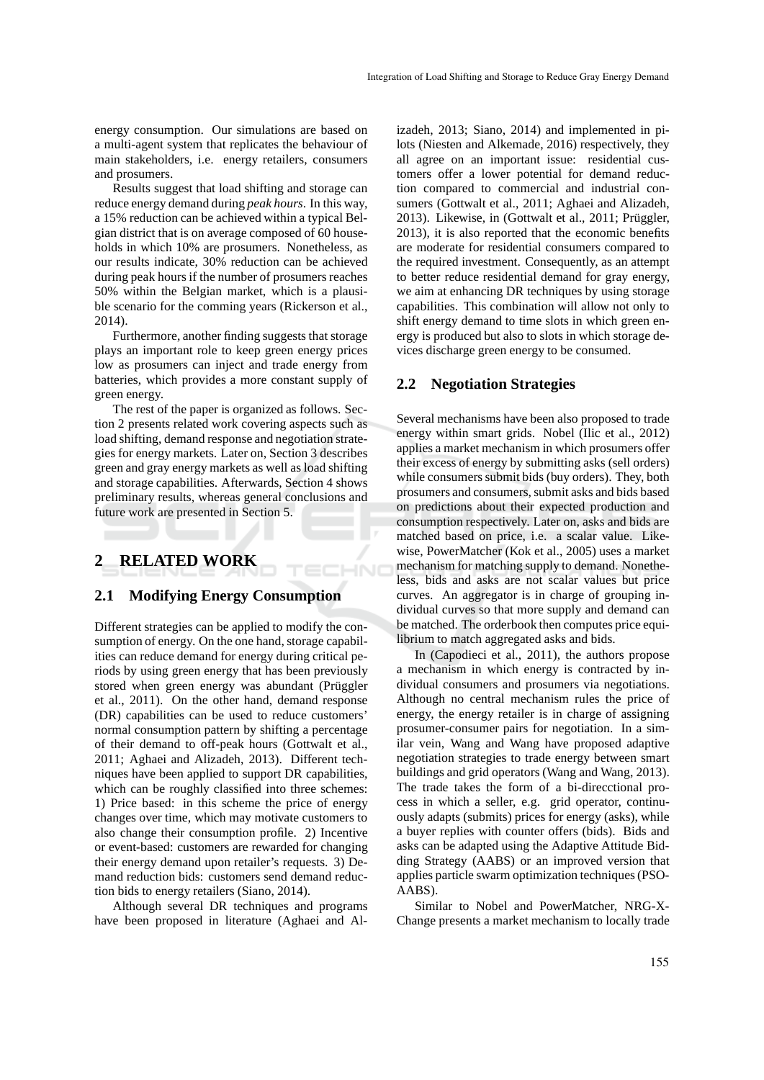energy consumption. Our simulations are based on a multi-agent system that replicates the behaviour of main stakeholders, i.e. energy retailers, consumers and prosumers.

Results suggest that load shifting and storage can reduce energy demand during *peak hours*. In this way, a 15% reduction can be achieved within a typical Belgian district that is on average composed of 60 households in which 10% are prosumers. Nonetheless, as our results indicate, 30% reduction can be achieved during peak hours if the number of prosumers reaches 50% within the Belgian market, which is a plausible scenario for the comming years (Rickerson et al., 2014).

Furthermore, another finding suggests that storage plays an important role to keep green energy prices low as prosumers can inject and trade energy from batteries, which provides a more constant supply of green energy.

The rest of the paper is organized as follows. Section 2 presents related work covering aspects such as load shifting, demand response and negotiation strategies for energy markets. Later on, Section 3 describes green and gray energy markets as well as load shifting and storage capabilities. Afterwards, Section 4 shows preliminary results, whereas general conclusions and future work are presented in Section 5.

# **2 RELATED WORK**

# **2.1 Modifying Energy Consumption**

HND

Different strategies can be applied to modify the consumption of energy. On the one hand, storage capabilities can reduce demand for energy during critical periods by using green energy that has been previously stored when green energy was abundant (Prüggler et al., 2011). On the other hand, demand response (DR) capabilities can be used to reduce customers' normal consumption pattern by shifting a percentage of their demand to off-peak hours (Gottwalt et al., 2011; Aghaei and Alizadeh, 2013). Different techniques have been applied to support DR capabilities, which can be roughly classified into three schemes: 1) Price based: in this scheme the price of energy changes over time, which may motivate customers to also change their consumption profile. 2) Incentive or event-based: customers are rewarded for changing their energy demand upon retailer's requests. 3) Demand reduction bids: customers send demand reduction bids to energy retailers (Siano, 2014).

Although several DR techniques and programs have been proposed in literature (Aghaei and Alizadeh, 2013; Siano, 2014) and implemented in pilots (Niesten and Alkemade, 2016) respectively, they all agree on an important issue: residential customers offer a lower potential for demand reduction compared to commercial and industrial consumers (Gottwalt et al., 2011; Aghaei and Alizadeh, 2013). Likewise, in (Gottwalt et al., 2011; Prüggler, 2013), it is also reported that the economic benefits are moderate for residential consumers compared to the required investment. Consequently, as an attempt to better reduce residential demand for gray energy, we aim at enhancing DR techniques by using storage capabilities. This combination will allow not only to shift energy demand to time slots in which green energy is produced but also to slots in which storage devices discharge green energy to be consumed.

### **2.2 Negotiation Strategies**

Several mechanisms have been also proposed to trade energy within smart grids. Nobel (Ilic et al., 2012) applies a market mechanism in which prosumers offer their excess of energy by submitting asks (sell orders) while consumers submit bids (buy orders). They, both prosumers and consumers, submit asks and bids based on predictions about their expected production and consumption respectively. Later on, asks and bids are matched based on price, i.e. a scalar value. Likewise, PowerMatcher (Kok et al., 2005) uses a market mechanism for matching supply to demand. Nonetheless, bids and asks are not scalar values but price curves. An aggregator is in charge of grouping individual curves so that more supply and demand can be matched. The orderbook then computes price equilibrium to match aggregated asks and bids.

In (Capodieci et al., 2011), the authors propose a mechanism in which energy is contracted by individual consumers and prosumers via negotiations. Although no central mechanism rules the price of energy, the energy retailer is in charge of assigning prosumer-consumer pairs for negotiation. In a similar vein, Wang and Wang have proposed adaptive negotiation strategies to trade energy between smart buildings and grid operators (Wang and Wang, 2013). The trade takes the form of a bi-direcctional process in which a seller, e.g. grid operator, continuously adapts (submits) prices for energy (asks), while a buyer replies with counter offers (bids). Bids and asks can be adapted using the Adaptive Attitude Bidding Strategy (AABS) or an improved version that applies particle swarm optimization techniques (PSO-AABS).

Similar to Nobel and PowerMatcher, NRG-X-Change presents a market mechanism to locally trade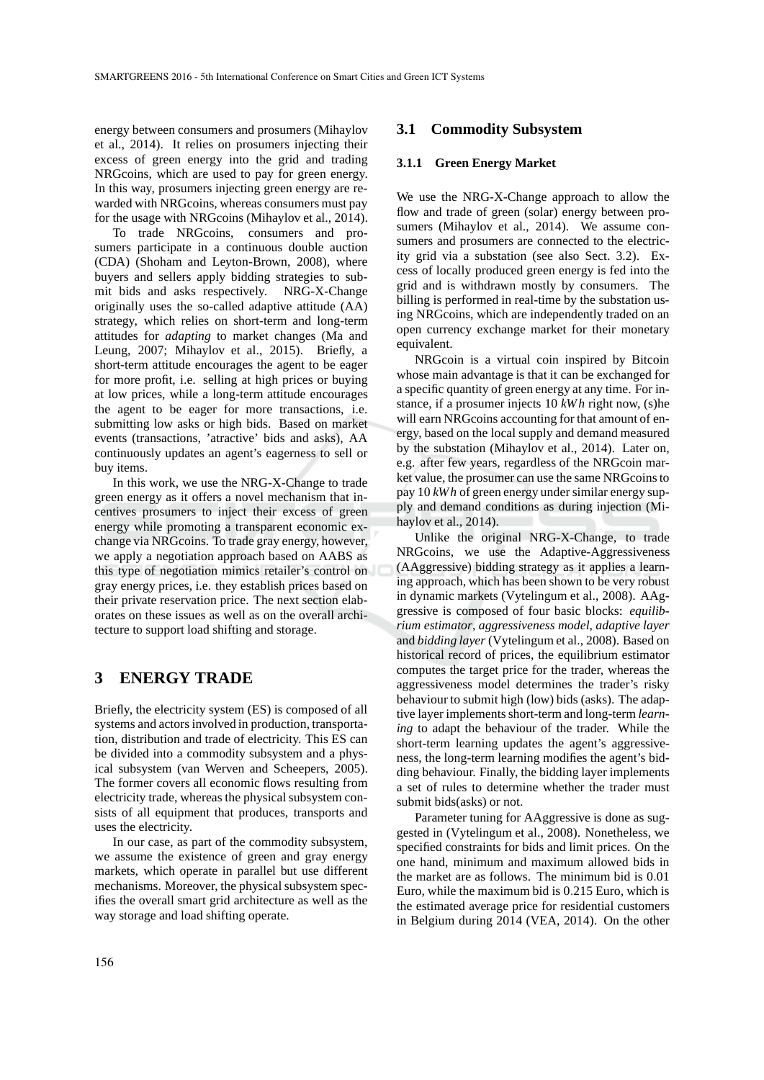energy between consumers and prosumers (Mihaylov et al., 2014). It relies on prosumers injecting their excess of green energy into the grid and trading NRGcoins, which are used to pay for green energy. In this way, prosumers injecting green energy are rewarded with NRGcoins, whereas consumers must pay for the usage with NRGcoins (Mihaylov et al., 2014).

To trade NRGcoins, consumers and prosumers participate in a continuous double auction (CDA) (Shoham and Leyton-Brown, 2008), where buyers and sellers apply bidding strategies to submit bids and asks respectively. NRG-X-Change originally uses the so-called adaptive attitude (AA) strategy, which relies on short-term and long-term attitudes for *adapting* to market changes (Ma and Leung, 2007; Mihaylov et al., 2015). Briefly, a short-term attitude encourages the agent to be eager for more profit, i.e. selling at high prices or buying at low prices, while a long-term attitude encourages the agent to be eager for more transactions, i.e. submitting low asks or high bids. Based on market events (transactions, 'atractive' bids and asks), AA continuously updates an agent's eagerness to sell or buy items.

In this work, we use the NRG-X-Change to trade green energy as it offers a novel mechanism that incentives prosumers to inject their excess of green energy while promoting a transparent economic exchange via NRGcoins. To trade gray energy, however, we apply a negotiation approach based on AABS as this type of negotiation mimics retailer's control on gray energy prices, i.e. they establish prices based on their private reservation price. The next section elaborates on these issues as well as on the overall architecture to support load shifting and storage.

# **3 ENERGY TRADE**

Briefly, the electricity system (ES) is composed of all systems and actors involved in production, transportation, distribution and trade of electricity. This ES can be divided into a commodity subsystem and a physical subsystem (van Werven and Scheepers, 2005). The former covers all economic flows resulting from electricity trade, whereas the physical subsystem consists of all equipment that produces, transports and uses the electricity.

In our case, as part of the commodity subsystem, we assume the existence of green and gray energy markets, which operate in parallel but use different mechanisms. Moreover, the physical subsystem specifies the overall smart grid architecture as well as the way storage and load shifting operate.

### **3.1 Commodity Subsystem**

### **3.1.1 Green Energy Market**

We use the NRG-X-Change approach to allow the flow and trade of green (solar) energy between prosumers (Mihaylov et al., 2014). We assume consumers and prosumers are connected to the electricity grid via a substation (see also Sect. 3.2). Excess of locally produced green energy is fed into the grid and is withdrawn mostly by consumers. The billing is performed in real-time by the substation using NRGcoins, which are independently traded on an open currency exchange market for their monetary equivalent.

NRGcoin is a virtual coin inspired by Bitcoin whose main advantage is that it can be exchanged for a specific quantity of green energy at any time. For instance, if a prosumer injects 10 *kWh* right now, (s)he will earn NRGcoins accounting for that amount of energy, based on the local supply and demand measured by the substation (Mihaylov et al., 2014). Later on, e.g. after few years, regardless of the NRGcoin market value, the prosumer can use the same NRGcoins to pay 10 *kWh* of green energy under similar energy supply and demand conditions as during injection (Mihaylov et al., 2014).

Unlike the original NRG-X-Change, to trade NRGcoins, we use the Adaptive-Aggressiveness (AAggressive) bidding strategy as it applies a learning approach, which has been shown to be very robust in dynamic markets (Vytelingum et al., 2008). AAggressive is composed of four basic blocks: *equilibrium estimator*, *aggressiveness model*, *adaptive layer* and *bidding layer* (Vytelingum et al., 2008). Based on historical record of prices, the equilibrium estimator computes the target price for the trader, whereas the aggressiveness model determines the trader's risky behaviour to submit high (low) bids (asks). The adaptive layer implements short-term and long-term *learning* to adapt the behaviour of the trader. While the short-term learning updates the agent's aggressiveness, the long-term learning modifies the agent's bidding behaviour. Finally, the bidding layer implements a set of rules to determine whether the trader must submit bids(asks) or not.

Parameter tuning for AAggressive is done as suggested in (Vytelingum et al., 2008). Nonetheless, we specified constraints for bids and limit prices. On the one hand, minimum and maximum allowed bids in the market are as follows. The minimum bid is 0.01 Euro, while the maximum bid is 0.215 Euro, which is the estimated average price for residential customers in Belgium during 2014 (VEA, 2014). On the other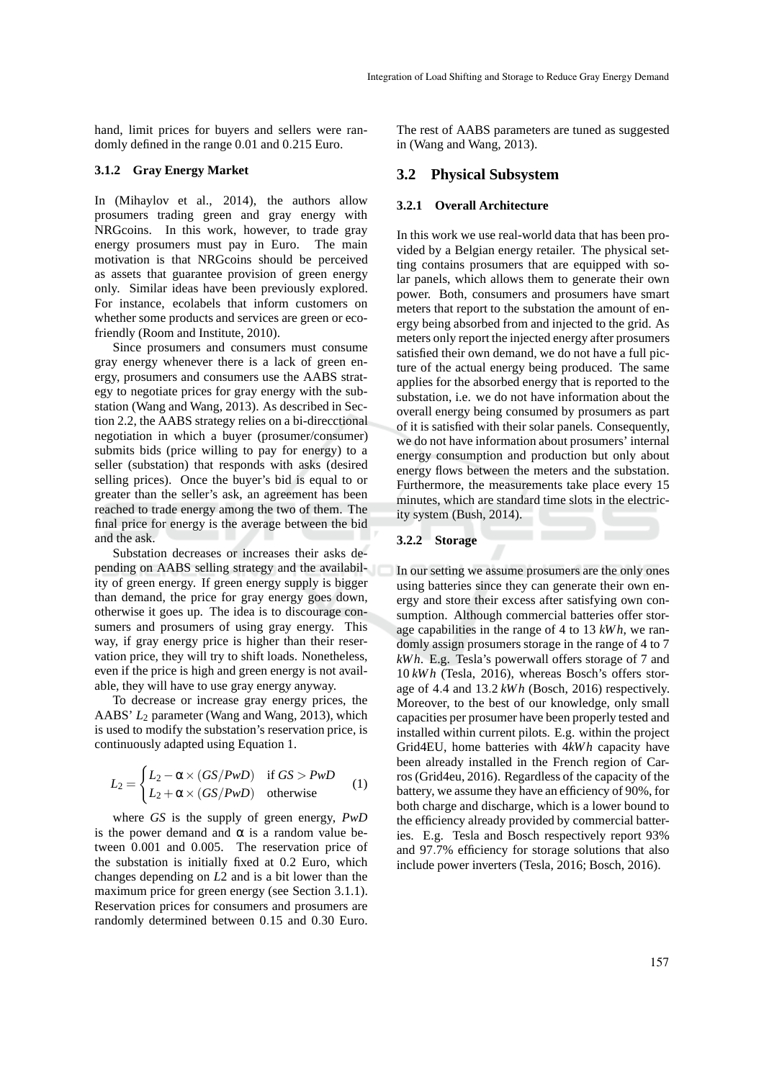hand, limit prices for buyers and sellers were randomly defined in the range 0.01 and 0.215 Euro.

#### **3.1.2 Gray Energy Market**

In (Mihaylov et al., 2014), the authors allow prosumers trading green and gray energy with NRGcoins. In this work, however, to trade gray energy prosumers must pay in Euro. The main motivation is that NRGcoins should be perceived as assets that guarantee provision of green energy only. Similar ideas have been previously explored. For instance, ecolabels that inform customers on whether some products and services are green or ecofriendly (Room and Institute, 2010).

Since prosumers and consumers must consume gray energy whenever there is a lack of green energy, prosumers and consumers use the AABS strategy to negotiate prices for gray energy with the substation (Wang and Wang, 2013). As described in Section 2.2, the AABS strategy relies on a bi-direcctional negotiation in which a buyer (prosumer/consumer) submits bids (price willing to pay for energy) to a seller (substation) that responds with asks (desired selling prices). Once the buyer's bid is equal to or greater than the seller's ask, an agreement has been reached to trade energy among the two of them. The final price for energy is the average between the bid and the ask.

Substation decreases or increases their asks depending on AABS selling strategy and the availability of green energy. If green energy supply is bigger than demand, the price for gray energy goes down, otherwise it goes up. The idea is to discourage consumers and prosumers of using gray energy. This way, if gray energy price is higher than their reservation price, they will try to shift loads. Nonetheless, even if the price is high and green energy is not available, they will have to use gray energy anyway.

To decrease or increase gray energy prices, the AABS' *L*<sup>2</sup> parameter (Wang and Wang, 2013), which is used to modify the substation's reservation price, is continuously adapted using Equation 1.

$$
L_2 = \begin{cases} L_2 - \alpha \times (GS/PwD) & \text{if } GS > PwD \\ L_2 + \alpha \times (GS/PwD) & \text{otherwise} \end{cases}
$$
 (1)

where *GS* is the supply of green energy, *PwD* is the power demand and  $\alpha$  is a random value between 0.001 and 0.005. The reservation price of the substation is initially fixed at 0.2 Euro, which changes depending on *L*2 and is a bit lower than the maximum price for green energy (see Section 3.1.1). Reservation prices for consumers and prosumers are randomly determined between 0.15 and 0.30 Euro. The rest of AABS parameters are tuned as suggested in (Wang and Wang, 2013).

### **3.2 Physical Subsystem**

### **3.2.1 Overall Architecture**

In this work we use real-world data that has been provided by a Belgian energy retailer. The physical setting contains prosumers that are equipped with solar panels, which allows them to generate their own power. Both, consumers and prosumers have smart meters that report to the substation the amount of energy being absorbed from and injected to the grid. As meters only report the injected energy after prosumers satisfied their own demand, we do not have a full picture of the actual energy being produced. The same applies for the absorbed energy that is reported to the substation, i.e. we do not have information about the overall energy being consumed by prosumers as part of it is satisfied with their solar panels. Consequently, we do not have information about prosumers' internal energy consumption and production but only about energy flows between the meters and the substation. Furthermore, the measurements take place every 15 minutes, which are standard time slots in the electricity system (Bush, 2014).

### **3.2.2 Storage**

In our setting we assume prosumers are the only ones using batteries since they can generate their own energy and store their excess after satisfying own consumption. Although commercial batteries offer storage capabilities in the range of 4 to 13 *kWh*, we randomly assign prosumers storage in the range of 4 to 7 *kWh*. E.g. Tesla's powerwall offers storage of 7 and 10 *kW h* (Tesla, 2016), whereas Bosch's offers storage of 4.4 and 13.2 *kW h* (Bosch, 2016) respectively. Moreover, to the best of our knowledge, only small capacities per prosumer have been properly tested and installed within current pilots. E.g. within the project Grid4EU, home batteries with 4*kWh* capacity have been already installed in the French region of Carros (Grid4eu, 2016). Regardless of the capacity of the battery, we assume they have an efficiency of 90%, for both charge and discharge, which is a lower bound to the efficiency already provided by commercial batteries. E.g. Tesla and Bosch respectively report 93% and 97.7% efficiency for storage solutions that also include power inverters (Tesla, 2016; Bosch, 2016).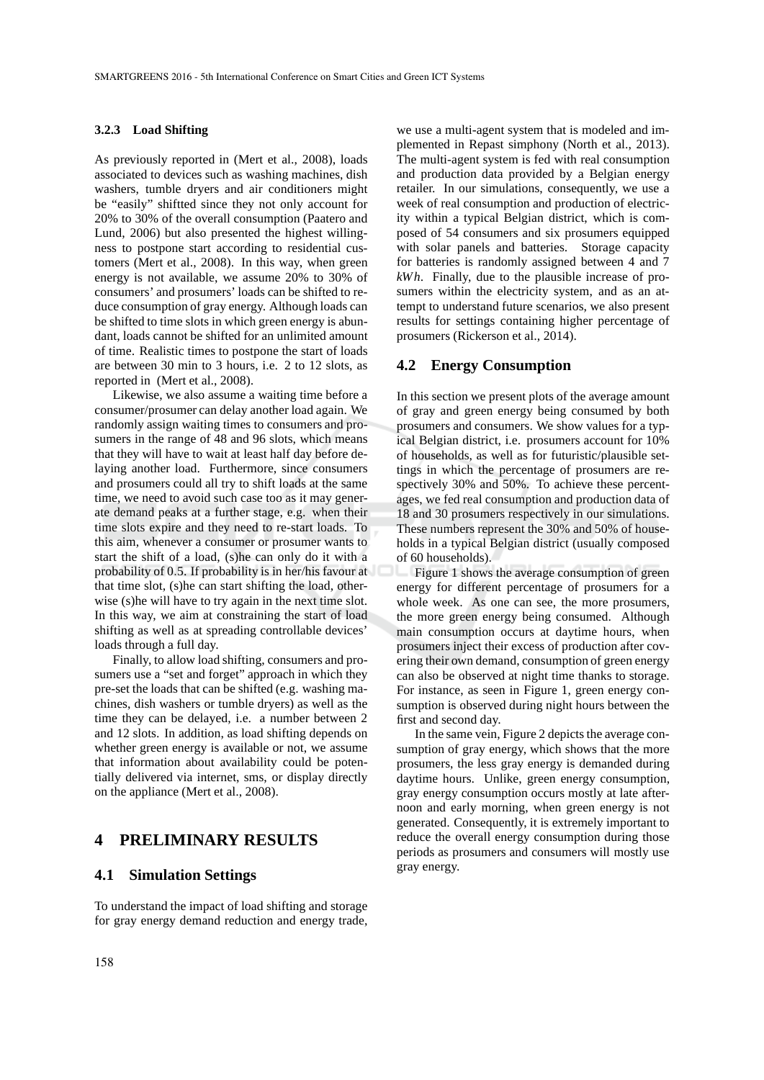#### **3.2.3 Load Shifting**

As previously reported in (Mert et al., 2008), loads associated to devices such as washing machines, dish washers, tumble dryers and air conditioners might be "easily" shiftted since they not only account for 20% to 30% of the overall consumption (Paatero and Lund, 2006) but also presented the highest willingness to postpone start according to residential customers (Mert et al., 2008). In this way, when green energy is not available, we assume 20% to 30% of consumers' and prosumers' loads can be shifted to reduce consumption of gray energy. Although loads can be shifted to time slots in which green energy is abundant, loads cannot be shifted for an unlimited amount of time. Realistic times to postpone the start of loads are between 30 min to 3 hours, i.e. 2 to 12 slots, as reported in (Mert et al., 2008).

Likewise, we also assume a waiting time before a consumer/prosumer can delay another load again. We randomly assign waiting times to consumers and prosumers in the range of 48 and 96 slots, which means that they will have to wait at least half day before delaying another load. Furthermore, since consumers and prosumers could all try to shift loads at the same time, we need to avoid such case too as it may generate demand peaks at a further stage, e.g. when their time slots expire and they need to re-start loads. To this aim, whenever a consumer or prosumer wants to start the shift of a load, (s)he can only do it with a probability of 0.5. If probability is in her/his favour at that time slot, (s)he can start shifting the load, otherwise (s)he will have to try again in the next time slot. In this way, we aim at constraining the start of load shifting as well as at spreading controllable devices' loads through a full day.

Finally, to allow load shifting, consumers and prosumers use a "set and forget" approach in which they pre-set the loads that can be shifted (e.g. washing machines, dish washers or tumble dryers) as well as the time they can be delayed, i.e. a number between 2 and 12 slots. In addition, as load shifting depends on whether green energy is available or not, we assume that information about availability could be potentially delivered via internet, sms, or display directly on the appliance (Mert et al., 2008).

# **4 PRELIMINARY RESULTS**

# **4.1 Simulation Settings**

To understand the impact of load shifting and storage for gray energy demand reduction and energy trade,

we use a multi-agent system that is modeled and implemented in Repast simphony (North et al., 2013). The multi-agent system is fed with real consumption and production data provided by a Belgian energy retailer. In our simulations, consequently, we use a week of real consumption and production of electricity within a typical Belgian district, which is composed of 54 consumers and six prosumers equipped with solar panels and batteries. Storage capacity for batteries is randomly assigned between 4 and 7 *kWh*. Finally, due to the plausible increase of prosumers within the electricity system, and as an attempt to understand future scenarios, we also present results for settings containing higher percentage of prosumers (Rickerson et al., 2014).

#### **4.2 Energy Consumption**

In this section we present plots of the average amount of gray and green energy being consumed by both prosumers and consumers. We show values for a typical Belgian district, i.e. prosumers account for 10% of households, as well as for futuristic/plausible settings in which the percentage of prosumers are respectively 30% and 50%. To achieve these percentages, we fed real consumption and production data of 18 and 30 prosumers respectively in our simulations. These numbers represent the 30% and 50% of households in a typical Belgian district (usually composed of 60 households).

Figure 1 shows the average consumption of green energy for different percentage of prosumers for a whole week. As one can see, the more prosumers, the more green energy being consumed. Although main consumption occurs at daytime hours, when prosumers inject their excess of production after covering their own demand, consumption of green energy can also be observed at night time thanks to storage. For instance, as seen in Figure 1, green energy consumption is observed during night hours between the first and second day.

In the same vein, Figure 2 depicts the average consumption of gray energy, which shows that the more prosumers, the less gray energy is demanded during daytime hours. Unlike, green energy consumption, gray energy consumption occurs mostly at late afternoon and early morning, when green energy is not generated. Consequently, it is extremely important to reduce the overall energy consumption during those periods as prosumers and consumers will mostly use gray energy.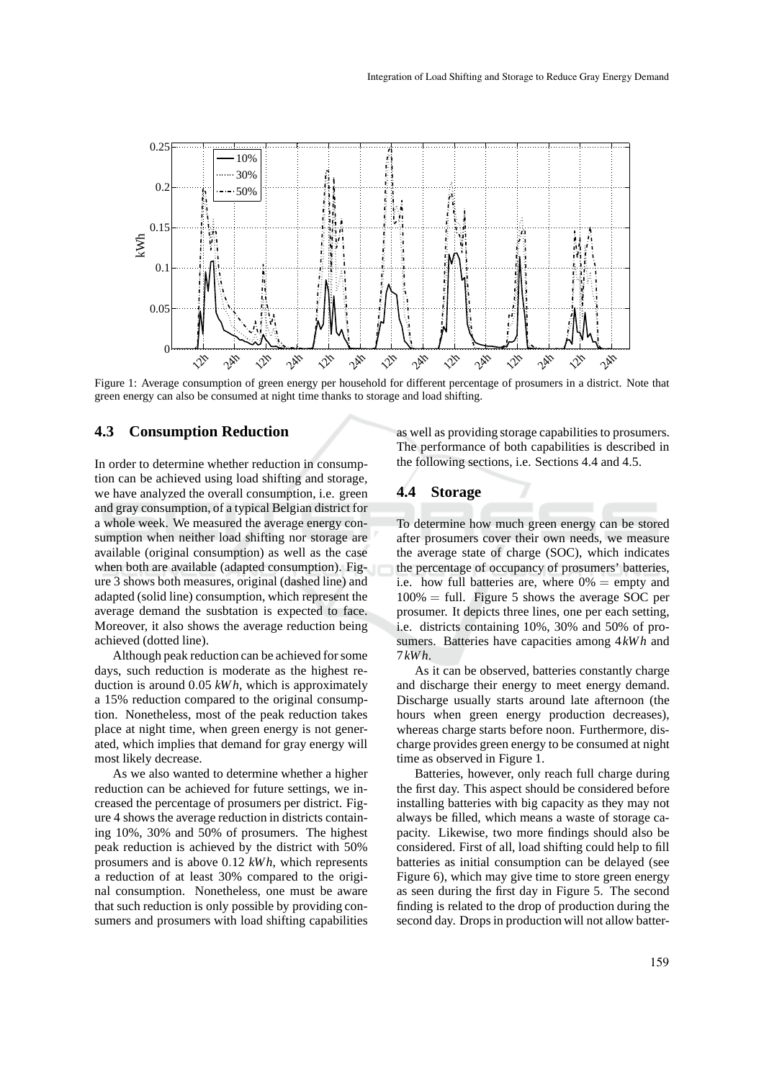

Figure 1: Average consumption of green energy per household for different percentage of prosumers in a district. Note that green energy can also be consumed at night time thanks to storage and load shifting.

### **4.3 Consumption Reduction**

In order to determine whether reduction in consumption can be achieved using load shifting and storage, we have analyzed the overall consumption, i.e. green and gray consumption, of a typical Belgian district for a whole week. We measured the average energy consumption when neither load shifting nor storage are available (original consumption) as well as the case when both are available (adapted consumption). Figure 3 shows both measures, original (dashed line) and adapted (solid line) consumption, which represent the average demand the susbtation is expected to face. Moreover, it also shows the average reduction being achieved (dotted line).

Although peak reduction can be achieved for some days, such reduction is moderate as the highest reduction is around 0.05 *kW h*, which is approximately a 15% reduction compared to the original consumption. Nonetheless, most of the peak reduction takes place at night time, when green energy is not generated, which implies that demand for gray energy will most likely decrease.

As we also wanted to determine whether a higher reduction can be achieved for future settings, we increased the percentage of prosumers per district. Figure 4 shows the average reduction in districts containing 10%, 30% and 50% of prosumers. The highest peak reduction is achieved by the district with 50% prosumers and is above 0.12 *kWh*, which represents a reduction of at least 30% compared to the original consumption. Nonetheless, one must be aware that such reduction is only possible by providing consumers and prosumers with load shifting capabilities as well as providing storage capabilities to prosumers. The performance of both capabilities is described in the following sections, i.e. Sections 4.4 and 4.5.

# **4.4 Storage**

To determine how much green energy can be stored after prosumers cover their own needs, we measure the average state of charge (SOC), which indicates the percentage of occupancy of prosumers' batteries, i.e. how full batteries are, where  $0\% = \text{empty and}$  $100\% = \text{full}$ . Figure 5 shows the average SOC per prosumer. It depicts three lines, one per each setting, i.e. districts containing 10%, 30% and 50% of prosumers. Batteries have capacities among 4*kWh* and 7*kWh*.

As it can be observed, batteries constantly charge and discharge their energy to meet energy demand. Discharge usually starts around late afternoon (the hours when green energy production decreases), whereas charge starts before noon. Furthermore, discharge provides green energy to be consumed at night time as observed in Figure 1.

Batteries, however, only reach full charge during the first day. This aspect should be considered before installing batteries with big capacity as they may not always be filled, which means a waste of storage capacity. Likewise, two more findings should also be considered. First of all, load shifting could help to fill batteries as initial consumption can be delayed (see Figure 6), which may give time to store green energy as seen during the first day in Figure 5. The second finding is related to the drop of production during the second day. Drops in production will not allow batter-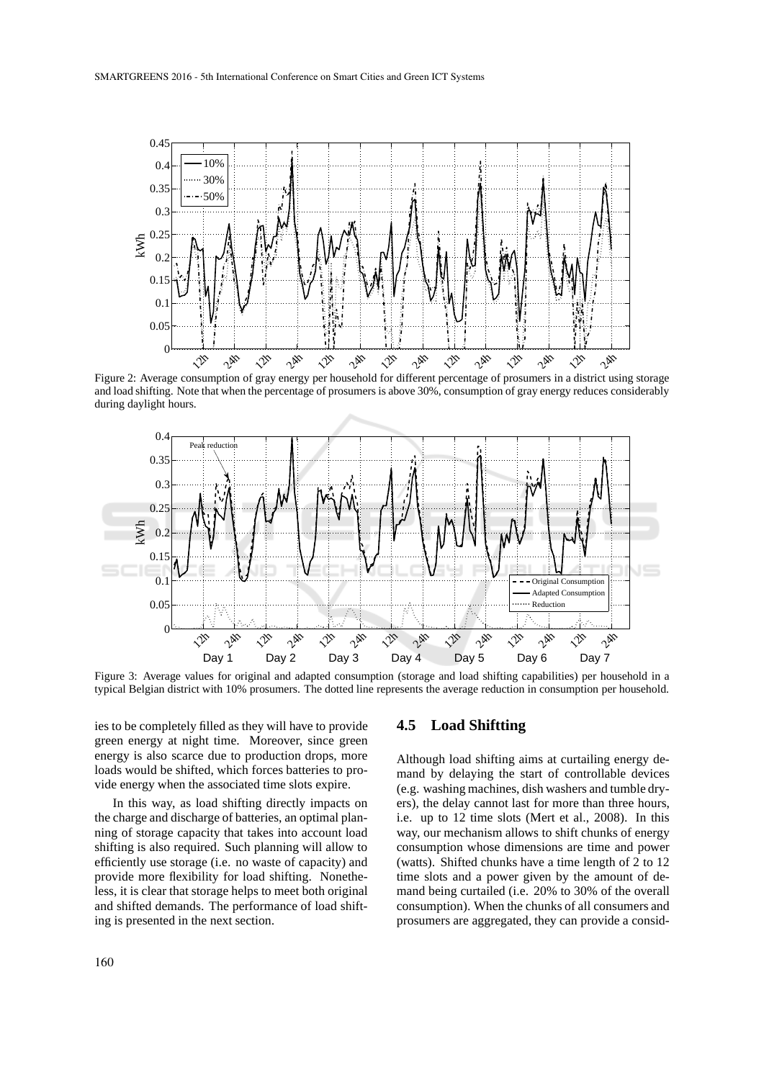

Figure 2: Average consumption of gray energy per household for different percentage of prosumers in a district using storage and load shifting. Note that when the percentage of prosumers is above 30%, consumption of gray energy reduces considerably during daylight hours.



Figure 3: Average values for original and adapted consumption (storage and load shifting capabilities) per household in a typical Belgian district with 10% prosumers. The dotted line represents the average reduction in consumption per household.

ies to be completely filled as they will have to provide green energy at night time. Moreover, since green energy is also scarce due to production drops, more loads would be shifted, which forces batteries to provide energy when the associated time slots expire.

In this way, as load shifting directly impacts on the charge and discharge of batteries, an optimal planning of storage capacity that takes into account load shifting is also required. Such planning will allow to efficiently use storage (i.e. no waste of capacity) and provide more flexibility for load shifting. Nonetheless, it is clear that storage helps to meet both original and shifted demands. The performance of load shifting is presented in the next section.

## **4.5 Load Shiftting**

Although load shifting aims at curtailing energy demand by delaying the start of controllable devices (e.g. washing machines, dish washers and tumble dryers), the delay cannot last for more than three hours, i.e. up to 12 time slots (Mert et al., 2008). In this way, our mechanism allows to shift chunks of energy consumption whose dimensions are time and power (watts). Shifted chunks have a time length of 2 to 12 time slots and a power given by the amount of demand being curtailed (i.e. 20% to 30% of the overall consumption). When the chunks of all consumers and prosumers are aggregated, they can provide a consid-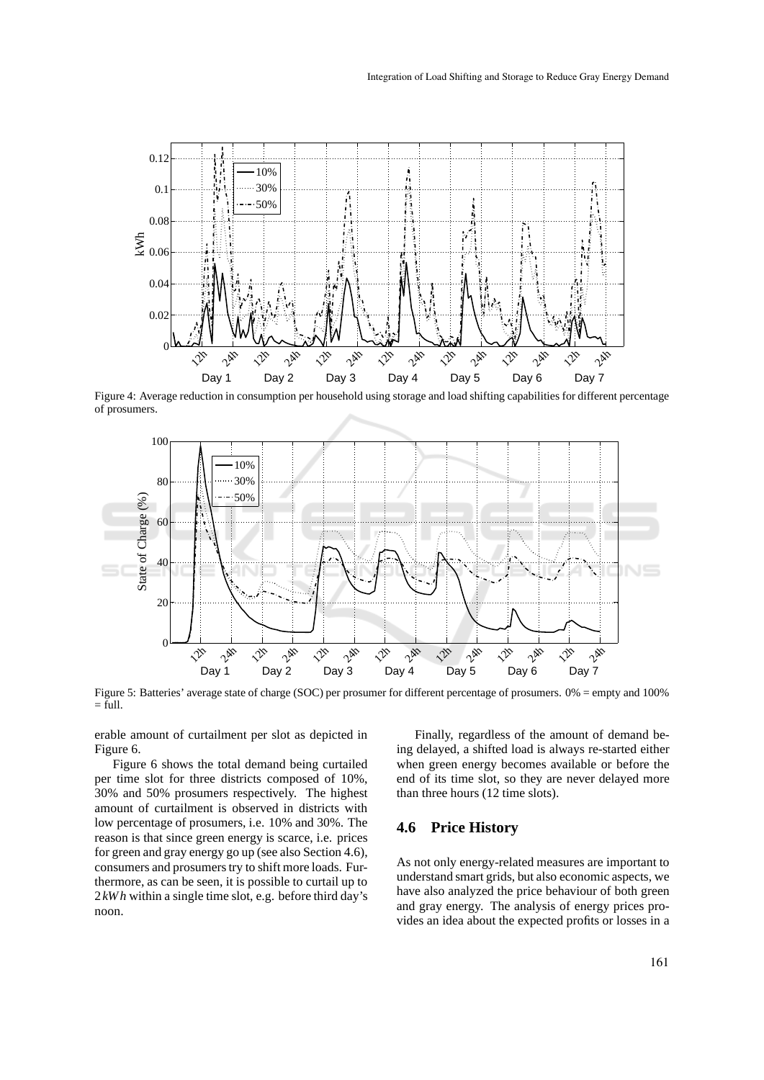

Figure 4: Average reduction in consumption per household using storage and load shifting capabilities for different percentage of prosumers.



Figure 5: Batteries' average state of charge (SOC) per prosumer for different percentage of prosumers. 0% = empty and 100%  $=$  full.

erable amount of curtailment per slot as depicted in Figure 6.

Figure 6 shows the total demand being curtailed per time slot for three districts composed of 10%, 30% and 50% prosumers respectively. The highest amount of curtailment is observed in districts with low percentage of prosumers, i.e. 10% and 30%. The reason is that since green energy is scarce, i.e. prices for green and gray energy go up (see also Section 4.6), consumers and prosumers try to shift more loads. Furthermore, as can be seen, it is possible to curtail up to 2*kWh* within a single time slot, e.g. before third day's noon.

Finally, regardless of the amount of demand being delayed, a shifted load is always re-started either when green energy becomes available or before the end of its time slot, so they are never delayed more than three hours (12 time slots).

### **4.6 Price History**

As not only energy-related measures are important to understand smart grids, but also economic aspects, we have also analyzed the price behaviour of both green and gray energy. The analysis of energy prices provides an idea about the expected profits or losses in a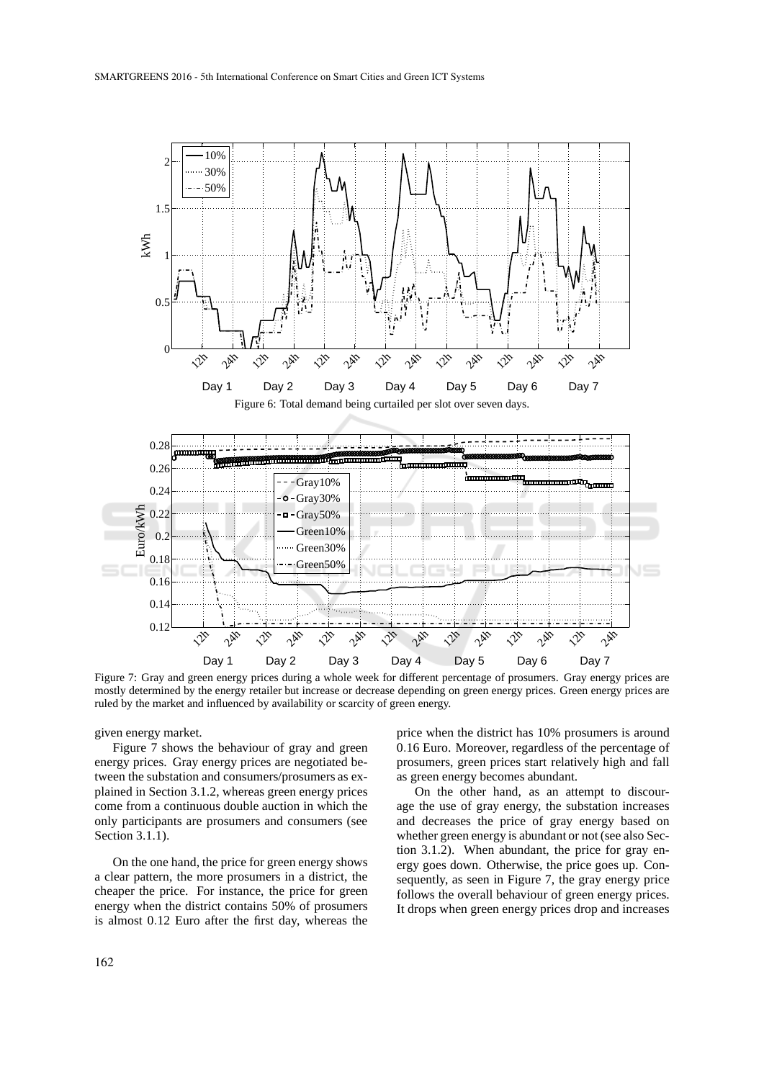

Figure 7: Gray and green energy prices during a whole week for different percentage of prosumers. Gray energy prices are mostly determined by the energy retailer but increase or decrease depending on green energy prices. Green energy prices are ruled by the market and influenced by availability or scarcity of green energy.

given energy market.

Figure 7 shows the behaviour of gray and green energy prices. Gray energy prices are negotiated between the substation and consumers/prosumers as explained in Section 3.1.2, whereas green energy prices come from a continuous double auction in which the only participants are prosumers and consumers (see Section 3.1.1).

On the one hand, the price for green energy shows a clear pattern, the more prosumers in a district, the cheaper the price. For instance, the price for green energy when the district contains 50% of prosumers is almost 0.12 Euro after the first day, whereas the price when the district has 10% prosumers is around 0.16 Euro. Moreover, regardless of the percentage of prosumers, green prices start relatively high and fall as green energy becomes abundant.

On the other hand, as an attempt to discourage the use of gray energy, the substation increases and decreases the price of gray energy based on whether green energy is abundant or not (see also Section 3.1.2). When abundant, the price for gray energy goes down. Otherwise, the price goes up. Consequently, as seen in Figure 7, the gray energy price follows the overall behaviour of green energy prices. It drops when green energy prices drop and increases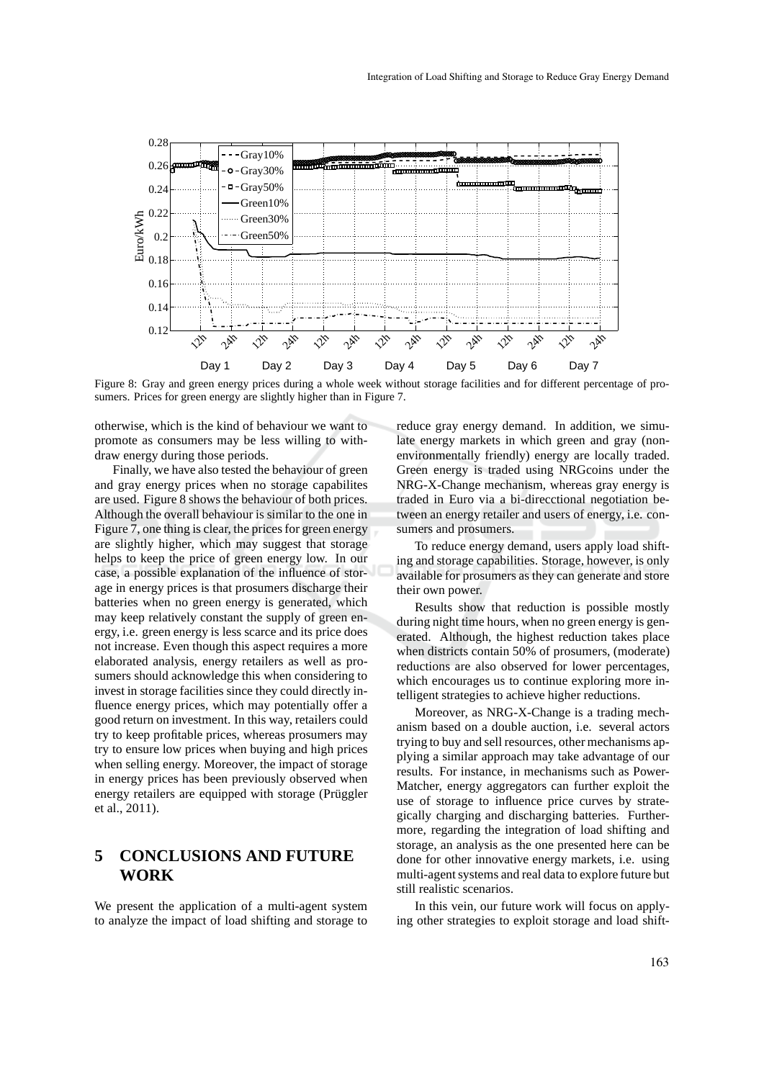

Figure 8: Gray and green energy prices during a whole week without storage facilities and for different percentage of prosumers. Prices for green energy are slightly higher than in Figure 7.

otherwise, which is the kind of behaviour we want to promote as consumers may be less willing to withdraw energy during those periods.

Finally, we have also tested the behaviour of green and gray energy prices when no storage capabilites are used. Figure 8 shows the behaviour of both prices. Although the overall behaviour is similar to the one in Figure 7, one thing is clear, the prices for green energy are slightly higher, which may suggest that storage helps to keep the price of green energy low. In our case, a possible explanation of the influence of storage in energy prices is that prosumers discharge their batteries when no green energy is generated, which may keep relatively constant the supply of green energy, i.e. green energy is less scarce and its price does not increase. Even though this aspect requires a more elaborated analysis, energy retailers as well as prosumers should acknowledge this when considering to invest in storage facilities since they could directly influence energy prices, which may potentially offer a good return on investment. In this way, retailers could try to keep profitable prices, whereas prosumers may try to ensure low prices when buying and high prices when selling energy. Moreover, the impact of storage in energy prices has been previously observed when energy retailers are equipped with storage (Prüggler et al., 2011).

# **5 CONCLUSIONS AND FUTURE WORK**

We present the application of a multi-agent system to analyze the impact of load shifting and storage to reduce gray energy demand. In addition, we simulate energy markets in which green and gray (nonenvironmentally friendly) energy are locally traded. Green energy is traded using NRGcoins under the NRG-X-Change mechanism, whereas gray energy is traded in Euro via a bi-direcctional negotiation between an energy retailer and users of energy, i.e. consumers and prosumers.

To reduce energy demand, users apply load shifting and storage capabilities. Storage, however, is only available for prosumers as they can generate and store their own power.

Results show that reduction is possible mostly during night time hours, when no green energy is generated. Although, the highest reduction takes place when districts contain 50% of prosumers, (moderate) reductions are also observed for lower percentages, which encourages us to continue exploring more intelligent strategies to achieve higher reductions.

Moreover, as NRG-X-Change is a trading mechanism based on a double auction, i.e. several actors trying to buy and sell resources, other mechanisms applying a similar approach may take advantage of our results. For instance, in mechanisms such as Power-Matcher, energy aggregators can further exploit the use of storage to influence price curves by strategically charging and discharging batteries. Furthermore, regarding the integration of load shifting and storage, an analysis as the one presented here can be done for other innovative energy markets, i.e. using multi-agent systems and real data to explore future but still realistic scenarios.

In this vein, our future work will focus on applying other strategies to exploit storage and load shift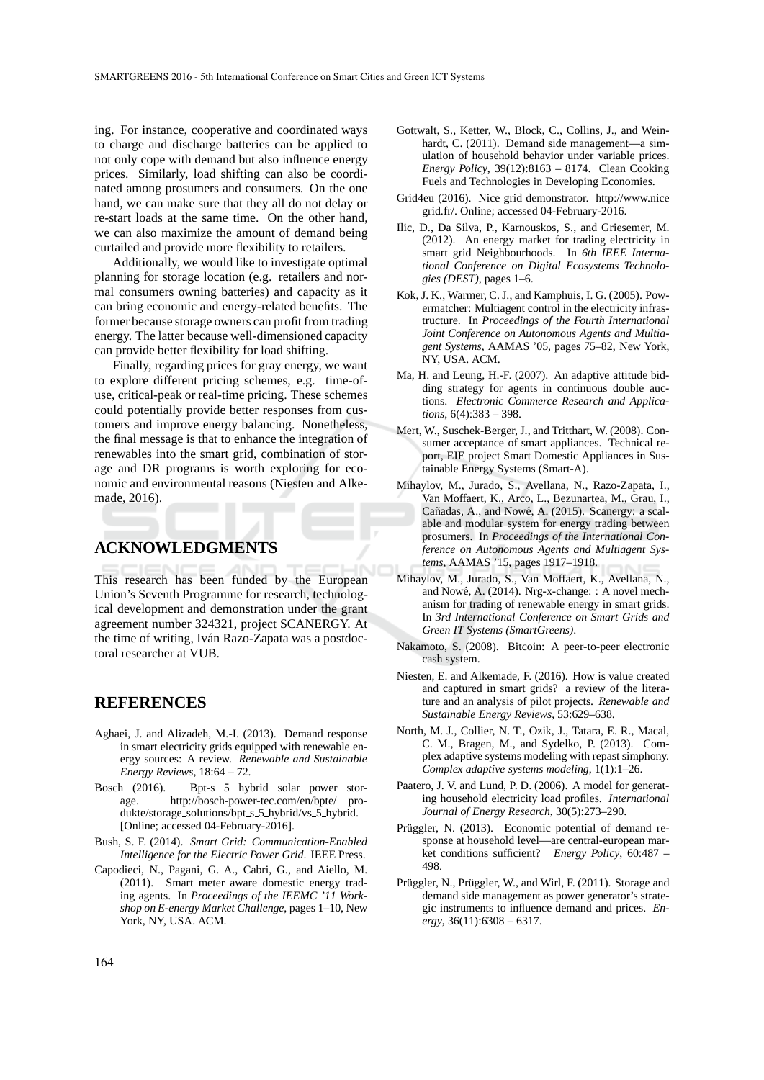ing. For instance, cooperative and coordinated ways to charge and discharge batteries can be applied to not only cope with demand but also influence energy prices. Similarly, load shifting can also be coordinated among prosumers and consumers. On the one hand, we can make sure that they all do not delay or re-start loads at the same time. On the other hand, we can also maximize the amount of demand being curtailed and provide more flexibility to retailers.

Additionally, we would like to investigate optimal planning for storage location (e.g. retailers and normal consumers owning batteries) and capacity as it can bring economic and energy-related benefits. The former because storage owners can profit from trading energy. The latter because well-dimensioned capacity can provide better flexibility for load shifting.

Finally, regarding prices for gray energy, we want to explore different pricing schemes, e.g. time-ofuse, critical-peak or real-time pricing. These schemes could potentially provide better responses from customers and improve energy balancing. Nonetheless, the final message is that to enhance the integration of renewables into the smart grid, combination of storage and DR programs is worth exploring for economic and environmental reasons (Niesten and Alkemade, 2016).

# **ACKNOWLEDGMENTS**

This research has been funded by the European Union's Seventh Programme for research, technological development and demonstration under the grant agreement number 324321, project SCANERGY. At the time of writing, Iván Razo-Zapata was a postdoctoral researcher at VUB.

### **REFERENCES**

- Aghaei, J. and Alizadeh, M.-I. (2013). Demand response in smart electricity grids equipped with renewable energy sources: A review. *Renewable and Sustainable Energy Reviews*, 18:64 – 72.
- Bosch (2016). Bpt-s 5 hybrid solar power storage. http://bosch-power-tec.com/en/bpte/ produkte/storage solutions/bpt s 5 hybrid/vs 5 hybrid. [Online; accessed 04-February-2016].
- Bush, S. F. (2014). *Smart Grid: Communication-Enabled Intelligence for the Electric Power Grid*. IEEE Press.
- Capodieci, N., Pagani, G. A., Cabri, G., and Aiello, M. (2011). Smart meter aware domestic energy trading agents. In *Proceedings of the IEEMC '11 Workshop on E-energy Market Challenge*, pages 1–10, New York, NY, USA. ACM.
- Gottwalt, S., Ketter, W., Block, C., Collins, J., and Weinhardt, C. (2011). Demand side management—a simulation of household behavior under variable prices. *Energy Policy*, 39(12):8163 – 8174. Clean Cooking Fuels and Technologies in Developing Economies.
- Grid4eu (2016). Nice grid demonstrator. http://www.nice grid.fr/. Online; accessed 04-February-2016.
- Ilic, D., Da Silva, P., Karnouskos, S., and Griesemer, M. (2012). An energy market for trading electricity in smart grid Neighbourhoods. In *6th IEEE International Conference on Digital Ecosystems Technologies (DEST)*, pages 1–6.
- Kok, J. K., Warmer, C. J., and Kamphuis, I. G. (2005). Powermatcher: Multiagent control in the electricity infrastructure. In *Proceedings of the Fourth International Joint Conference on Autonomous Agents and Multiagent Systems*, AAMAS '05, pages 75–82, New York, NY, USA. ACM.
- Ma, H. and Leung, H.-F. (2007). An adaptive attitude bidding strategy for agents in continuous double auctions. *Electronic Commerce Research and Applications*, 6(4):383 – 398.
- Mert, W., Suschek-Berger, J., and Tritthart, W. (2008). Consumer acceptance of smart appliances. Technical report, EIE project Smart Domestic Appliances in Sustainable Energy Systems (Smart-A).
- Mihaylov, M., Jurado, S., Avellana, N., Razo-Zapata, I., Van Moffaert, K., Arco, L., Bezunartea, M., Grau, I., Cañadas, A., and Nowé, A. (2015). Scanergy: a scalable and modular system for energy trading between prosumers. In *Proceedings of the International Conference on Autonomous Agents and Multiagent Systems*, AAMAS '15, pages 1917–1918.
- Mihaylov, M., Jurado, S., Van Moffaert, K., Avellana, N., and Nowé, A. (2014). Nrg-x-change: : A novel mechanism for trading of renewable energy in smart grids. In *3rd International Conference on Smart Grids and Green IT Systems (SmartGreens)*.
- Nakamoto, S. (2008). Bitcoin: A peer-to-peer electronic cash system.
- Niesten, E. and Alkemade, F. (2016). How is value created and captured in smart grids? a review of the literature and an analysis of pilot projects. *Renewable and Sustainable Energy Reviews*, 53:629–638.
- North, M. J., Collier, N. T., Ozik, J., Tatara, E. R., Macal, C. M., Bragen, M., and Sydelko, P. (2013). Complex adaptive systems modeling with repast simphony. *Complex adaptive systems modeling*, 1(1):1–26.
- Paatero, J. V. and Lund, P. D. (2006). A model for generating household electricity load profiles. *International Journal of Energy Research*, 30(5):273–290.
- Prüggler, N. (2013). Economic potential of demand response at household level—are central-european market conditions sufficient? *Energy Policy*, 60:487 – 498.
- Prüggler, N., Prüggler, W., and Wirl, F. (2011). Storage and demand side management as power generator's strategic instruments to influence demand and prices. *Energy*, 36(11):6308 – 6317.